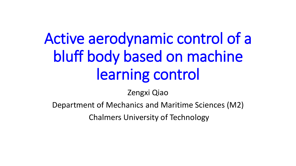# Active aerodynamic control of a bluff body based on machine learning control

Zengxi Qiao

Department of Mechanics and Maritime Sciences (M2)

Chalmers University of Technology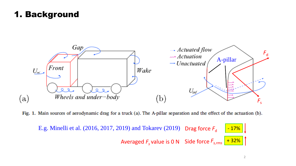# 1. Background



Fig. 1. Main sources of aerodynamic drag for a truck (a). The A-pillar separation and the effect of the actuation (b).

E.g. Minelli et al.  $(2016, 2017, 2019)$  and Tokarev  $(2019)$  Drag force  $F_d$ Averaged  $F_s$  value is 0 N Side force  $F_{s,rms}$   $+$  32% - 17%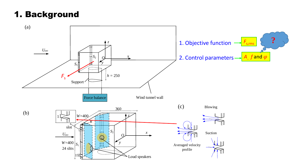# 1. Background

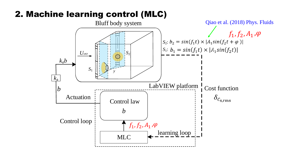## 2. Machine learning control (MLC)

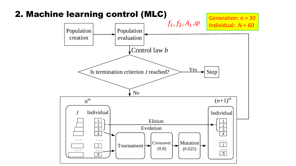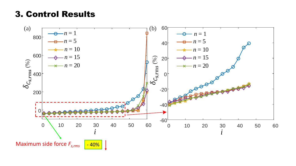### 3. Control Results

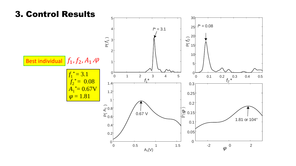#### 3. Control Results

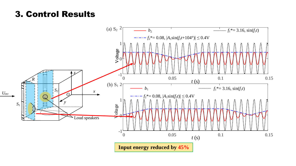### 3. Control Results

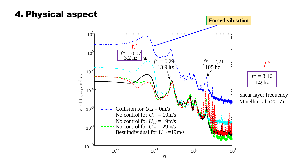### 4. Physical aspect

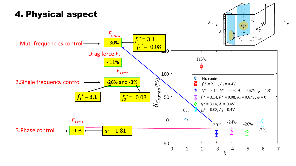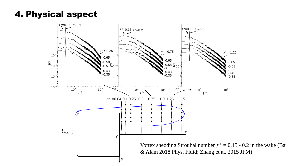4. Physical aspect

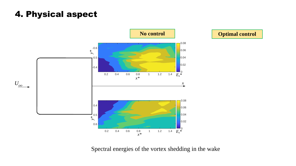# 4. Physical aspect





Spectral energies of the vortex shedding in the wake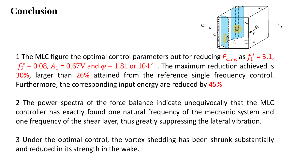# **Conclusion**



1 The MLC figure the optimal control parameters out for reducing  $F_{s,rms}$  as  $f_1^* = 3.1$ ,  $f_2^* = 0.08$ ,  $A_1$  =  $0.67V$  and  $\varphi = 1.81$  or  $104^\circ$  . The maximum reduction achieved is 30%, larger than 26% attained from the reference single frequency control. Furthermore, the corresponding input energy are reduced by 45%.

2 The power spectra of the force balance indicate unequivocally that the MLC controller has exactly found one natural frequency of the mechanic system and one frequency of the shear layer, thus greatly suppressing the lateral vibration.

3 Under the optimal control, the vortex shedding has been shrunk substantially and reduced in its strength in the wake.